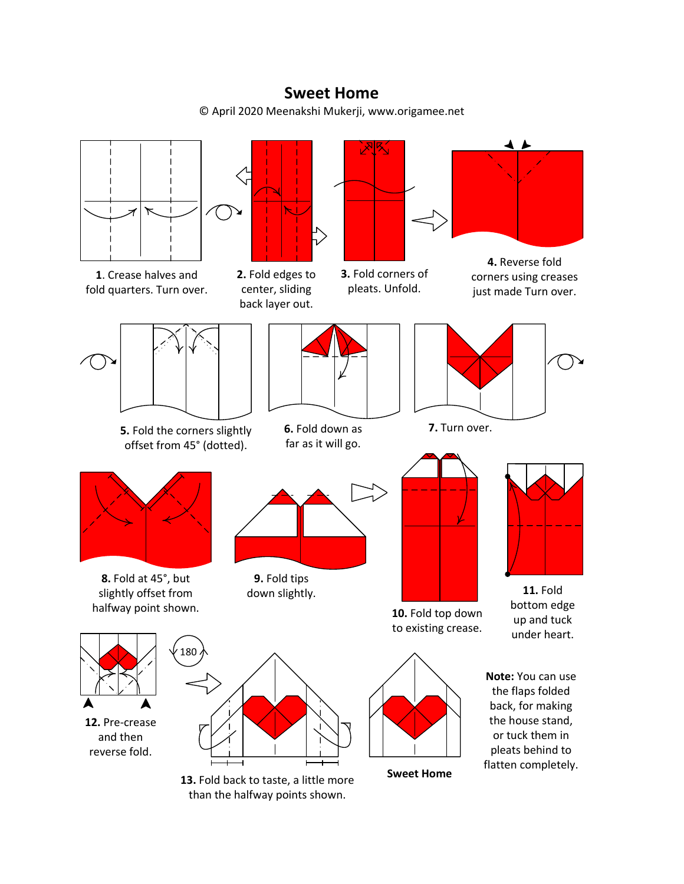## **Sweet Home**

© April 2020 Meenakshi Mukerji, www.origamee.net



**1**. Crease halves and fold quarters. Turn over.



**2.** Fold edges to center, sliding back layer out.



**3.** Fold corners of pleats. Unfold.



**4.** Reverse fold corners using creases just made Turn over.



**5.** Fold the corners slightly offset from 45° (dotted).

180



**6.** Fold down as far as it will go.



**7.** Turn over.



**8.** Fold at 45°, but slightly offset from halfway point shown. **10.** Fold top down

**12.** Pre-crease and then reverse fold.



**9.** Fold tips



to existing crease.

bottom edge up and tuck under heart.



**Note:** You can use the flaps folded back, for making the house stand, or tuck them in pleats behind to flatten completely.

**13.** Fold back to taste, a little more than the halfway points shown.

**Sweet Home**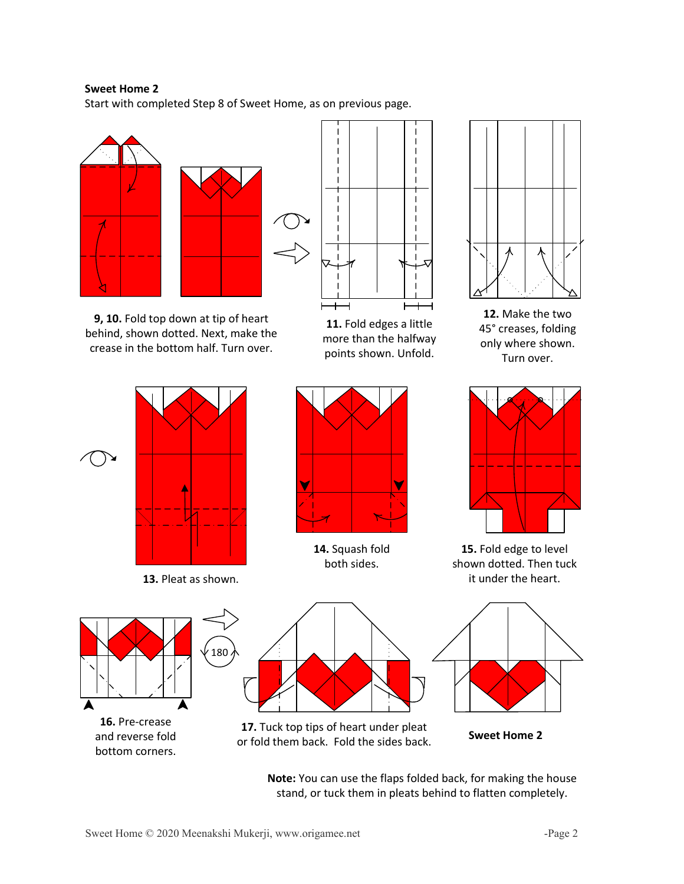## **Sweet Home 2**

Start with completed Step 8 of Sweet Home, as on previous page.



**9, 10.** Fold top down at tip of heart behind, shown dotted. Next, make the crease in the bottom half. Turn over.



**11.** Fold edges a little more than the halfway points shown. Unfold.



**12.** Make the two 45° creases, folding only where shown. Turn over.



**13.** Pleat as shown.



**14.** Squash fold both sides.



**15.** Fold edge to level shown dotted. Then tuck it under the heart.



**16.** Pre-crease and reverse fold bottom corners.



**17.** Tuck top tips of heart under pleat or fold them back. Fold the sides back. **Sweet Home 2**



**Note:** You can use the flaps folded back, for making the house stand, or tuck them in pleats behind to flatten completely.